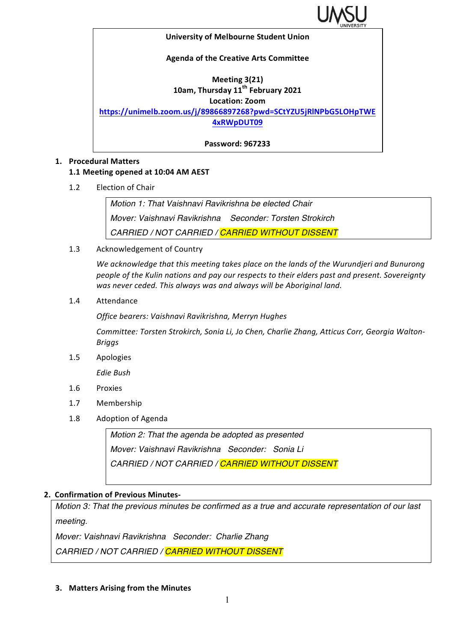

#### **University of Melbourne Student Union**

#### **Agenda of the Creative Arts Committee**

#### **Meeting 3(21) 10am, Thursday 11th February 2021**

**Location: Zoom**

**https://unimelb.zoom.us/j/89866897268?pwd=SCtYZU5jRlNPbG5LOHpTWE**

**4xRWpDUT09**

**Password: 967233**

#### **1. Procedural Matters**

## **1.1 Meeting opened at 10:04 AM AEST**

1.2 Election of Chair

*Motion 1: That Vaishnavi Ravikrishna be elected Chair Mover: Vaishnavi Ravikrishna Seconder: Torsten Strokirch CARRIED / NOT CARRIED / CARRIED WITHOUT DISSENT*

## 1.3 Acknowledgement of Country

We acknowledge that this meeting takes place on the lands of the Wurundjeri and Bunurong people of the Kulin nations and pay our respects to their elders past and present. Sovereignty was never ceded. This always was and always will be Aboriginal land.

1.4 Attendance

*Office bearers: Vaishnavi Ravikrishna, Merryn Hughes*

Committee: Torsten Strokirch, Sonia Li, Jo Chen, Charlie Zhang, Atticus Corr, Georgia Walton-*Briggs*

1.5 Apologies

*Edie Bush*

- 1.6 Proxies
- 1.7 Membership
- 1.8 Adoption of Agenda

*Motion 2: That the agenda be adopted as presented Mover: Vaishnavi Ravikrishna Seconder: Sonia Li CARRIED / NOT CARRIED / CARRIED WITHOUT DISSENT*

## **2. Confirmation of Previous Minutes-**

*Motion 3: That the previous minutes be confirmed as a true and accurate representation of our last meeting.*

*Mover: Vaishnavi Ravikrishna Seconder: Charlie Zhang*

*CARRIED / NOT CARRIED / CARRIED WITHOUT DISSENT*

**3. Matters Arising from the Minutes**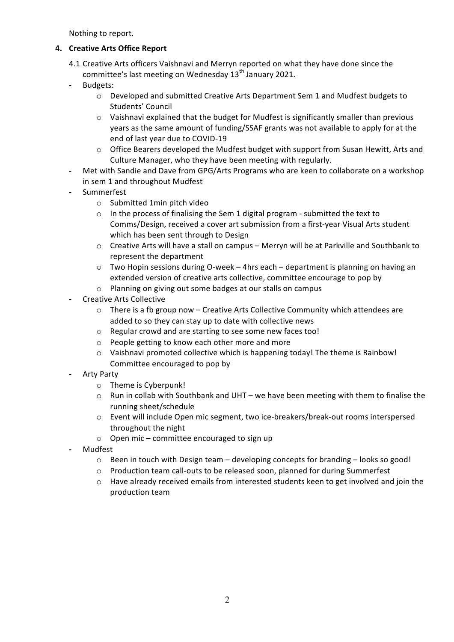Nothing to report.

## **4. Creative Arts Office Report**

- 4.1 Creative Arts officers Vaishnavi and Merryn reported on what they have done since the committee's last meeting on Wednesday  $13<sup>th</sup>$  January 2021.
- **-** Budgets:
	- $\circ$  Developed and submitted Creative Arts Department Sem 1 and Mudfest budgets to Students' Council
	- $\circ$  Vaishnavi explained that the budget for Mudfest is significantly smaller than previous years as the same amount of funding/SSAF grants was not available to apply for at the end of last vear due to COVID-19
	- $\circ$  Office Bearers developed the Mudfest budget with support from Susan Hewitt, Arts and Culture Manager, who they have been meeting with regularly.
- Met with Sandie and Dave from GPG/Arts Programs who are keen to collaborate on a workshop in sem 1 and throughout Mudfest
- **-** Summerfest
	- $\circ$  Submitted 1min pitch video
	- $\circ$  In the process of finalising the Sem 1 digital program submitted the text to Comms/Design, received a cover art submission from a first-year Visual Arts student which has been sent through to Design
	- $\circ$  Creative Arts will have a stall on campus Merryn will be at Parkville and Southbank to represent the department
	- $\circ$  Two Hopin sessions during O-week 4hrs each department is planning on having an extended version of creative arts collective, committee encourage to pop by
	- o Planning on giving out some badges at our stalls on campus
- **-** Creative Arts Collective
	- $\circ$  There is a fb group now Creative Arts Collective Community which attendees are added to so they can stay up to date with collective news
	- $\circ$  Regular crowd and are starting to see some new faces too!
	- $\circ$  People getting to know each other more and more
	- $\circ$  Vaishnavi promoted collective which is happening today! The theme is Rainbow! Committee encouraged to pop by
- **-** Arty Party
	- $\circ$  Theme is Cyberpunk!
	- $\circ$  Run in collab with Southbank and UHT we have been meeting with them to finalise the running sheet/schedule
	- $\circ$  Event will include Open mic segment, two ice-breakers/break-out rooms interspersed throughout the night
	- $\circ$  Open mic committee encouraged to sign up
- **-** Mudfest
	- $\circ$  Been in touch with Design team developing concepts for branding looks so good!
	- o Production team call-outs to be released soon, planned for during Summerfest
	- $\circ$  Have already received emails from interested students keen to get involved and join the production team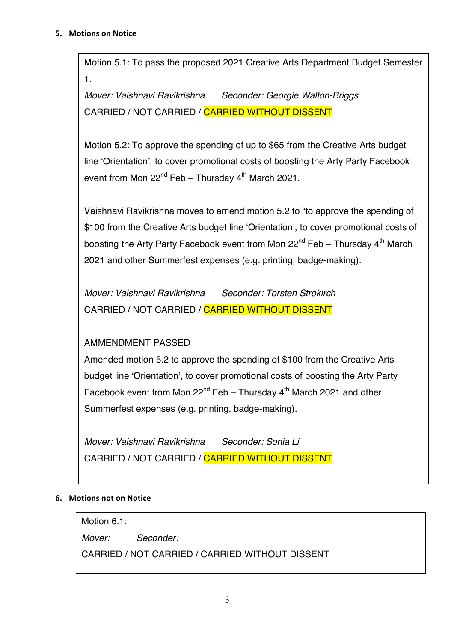#### **5.** Motions on Notice

Motion 5.1: To pass the proposed 2021 Creative Arts Department Budget Semester 1.

*Mover: Vaishnavi Ravikrishna Seconder: Georgie Walton-Briggs* CARRIED / NOT CARRIED / CARRIED WITHOUT DISSENT

Motion 5.2: To approve the spending of up to \$65 from the Creative Arts budget line 'Orientation', to cover promotional costs of boosting the Arty Party Facebook event from Mon  $22^{nd}$  Feb – Thursday  $4^{th}$  March 2021.

Vaishnavi Ravikrishna moves to amend motion 5.2 to "to approve the spending of \$100 from the Creative Arts budget line 'Orientation', to cover promotional costs of boosting the Arty Party Facebook event from Mon  $22^{nd}$  Feb – Thursday  $4^{th}$  March 2021 and other Summerfest expenses (e.g. printing, badge-making).

*Mover: Vaishnavi Ravikrishna Seconder: Torsten Strokirch* CARRIED / NOT CARRIED / CARRIED WITHOUT DISSENT

# AMMENDMENT PASSED

Amended motion 5.2 to approve the spending of \$100 from the Creative Arts budget line 'Orientation', to cover promotional costs of boosting the Arty Party Facebook event from Mon  $22^{nd}$  Feb – Thursday  $4^{th}$  March 2021 and other Summerfest expenses (e.g. printing, badge-making).

*Mover: Vaishnavi Ravikrishna Seconder: Sonia Li* CARRIED / NOT CARRIED / CARRIED WITHOUT DISSENT

## **6.** Motions not on Notice

Motion 6.1:

*Mover: Seconder:*

CARRIED / NOT CARRIED / CARRIED WITHOUT DISSENT